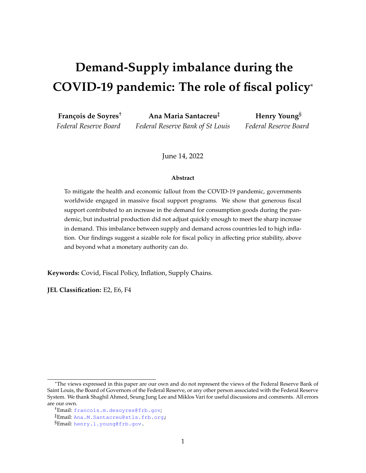# **Demand-Supply imbalance during the COVID-19 pandemic: The role of fiscal policy**\*

**François de Soyres**† *Federal Reserve Board*

**Ana Maria Santacreu**‡ *Federal Reserve Bank of St Louis*

**Henry Young**§ *Federal Reserve Board*

June 14, 2022

#### **Abstract**

To mitigate the health and economic fallout from the COVID-19 pandemic, governments worldwide engaged in massive fiscal support programs. We show that generous fiscal support contributed to an increase in the demand for consumption goods during the pandemic, but industrial production did not adjust quickly enough to meet the sharp increase in demand. This imbalance between supply and demand across countries led to high inflation. Our findings suggest a sizable role for fiscal policy in affecting price stability, above and beyond what a monetary authority can do.

**Keywords:** Covid, Fiscal Policy, Inflation, Supply Chains.

**JEL Classification:** E2, E6, F4

<sup>\*</sup>The views expressed in this paper are our own and do not represent the views of the Federal Reserve Bank of Saint Louis, the Board of Governors of the Federal Reserve, or any other person associated with the Federal Reserve System. We thank Shaghil Ahmed, Seung Jung Lee and Miklos Vari for useful discussions and comments. All errors are our own.

<sup>†</sup>Email: [francois.m.desoyres@frb.gov](mailto:francois.m.desoyres@frb.gov);

<sup>‡</sup>Email: [Ana.M.Santacreu@stls.frb.org;](mailto:Ana.M.Santacreu@stls.frb.org)

<sup>§</sup>Email: [henry.l.young@frb.gov.](mailto:Henry.l.Young@frb.gov)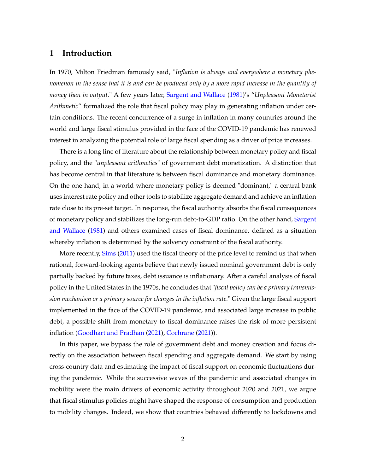## **1 Introduction**

In 1970, Milton Friedman famously said, "*Inflation is always and everywhere a monetary phenomenon in the sense that it is and can be produced only by a more rapid increase in the quantity of money than in output.*" A few years later, [Sargent and Wallace](#page-25-0) [\(1981\)](#page-25-0)'s "*Unpleasant Monetarist Arithmetic*" formalized the role that fiscal policy may play in generating inflation under certain conditions. The recent concurrence of a surge in inflation in many countries around the world and large fiscal stimulus provided in the face of the COVID-19 pandemic has renewed interest in analyzing the potential role of large fiscal spending as a driver of price increases.

There is a long line of literature about the relationship between monetary policy and fiscal policy, and the "*unpleasant arithmetics*" of government debt monetization. A distinction that has become central in that literature is between fiscal dominance and monetary dominance. On the one hand, in a world where monetary policy is deemed "dominant," a central bank uses interest rate policy and other tools to stabilize aggregate demand and achieve an inflation rate close to its pre-set target. In response, the fiscal authority absorbs the fiscal consequences of monetary policy and stabilizes the long-run debt-to-GDP ratio. On the other hand, [Sargent](#page-25-0) [and Wallace](#page-25-0) [\(1981\)](#page-25-0) and others examined cases of fiscal dominance, defined as a situation whereby inflation is determined by the solvency constraint of the fiscal authority.

More recently, [Sims](#page-25-1) [\(2011\)](#page-25-1) used the fiscal theory of the price level to remind us that when rational, forward-looking agents believe that newly issued nominal government debt is only partially backed by future taxes, debt issuance is inflationary. After a careful analysis of fiscal policy in the United States in the 1970s, he concludes that "*fiscal policy can be a primary transmission mechanism or a primary source for changes in the inflation rate.*" Given the large fiscal support implemented in the face of the COVID-19 pandemic, and associated large increase in public debt, a possible shift from monetary to fiscal dominance raises the risk of more persistent inflation [\(Goodhart and Pradhan](#page-24-0) [\(2021\)](#page-24-0), [Cochrane](#page-24-1) [\(2021\)](#page-24-1)).

In this paper, we bypass the role of government debt and money creation and focus directly on the association between fiscal spending and aggregate demand. We start by using cross-country data and estimating the impact of fiscal support on economic fluctuations during the pandemic. While the successive waves of the pandemic and associated changes in mobility were the main drivers of economic activity throughout 2020 and 2021, we argue that fiscal stimulus policies might have shaped the response of consumption and production to mobility changes. Indeed, we show that countries behaved differently to lockdowns and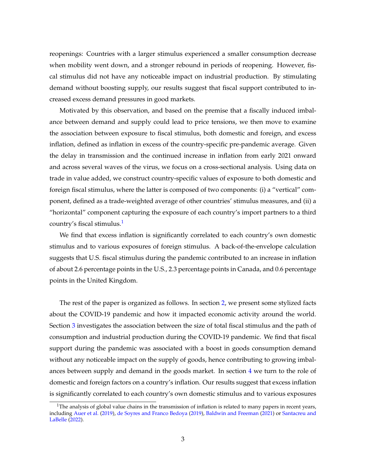reopenings: Countries with a larger stimulus experienced a smaller consumption decrease when mobility went down, and a stronger rebound in periods of reopening. However, fiscal stimulus did not have any noticeable impact on industrial production. By stimulating demand without boosting supply, our results suggest that fiscal support contributed to increased excess demand pressures in good markets.

Motivated by this observation, and based on the premise that a fiscally induced imbalance between demand and supply could lead to price tensions, we then move to examine the association between exposure to fiscal stimulus, both domestic and foreign, and excess inflation, defined as inflation in excess of the country-specific pre-pandemic average. Given the delay in transmission and the continued increase in inflation from early 2021 onward and across several waves of the virus, we focus on a cross-sectional analysis. Using data on trade in value added, we construct country-specific values of exposure to both domestic and foreign fiscal stimulus, where the latter is composed of two components: (i) a "vertical" component, defined as a trade-weighted average of other countries' stimulus measures, and (ii) a "horizontal" component capturing the exposure of each country's import partners to a third country's fiscal stimulus.[1](#page-2-0)

We find that excess inflation is significantly correlated to each country's own domestic stimulus and to various exposures of foreign stimulus. A back-of-the-envelope calculation suggests that U.S. fiscal stimulus during the pandemic contributed to an increase in inflation of about 2.6 percentage points in the U.S., 2.3 percentage points in Canada, and 0.6 percentage points in the United Kingdom.

The rest of the paper is organized as follows. In section [2,](#page-3-0) we present some stylized facts about the COVID-19 pandemic and how it impacted economic activity around the world. Section [3](#page-5-0) investigates the association between the size of total fiscal stimulus and the path of consumption and industrial production during the COVID-19 pandemic. We find that fiscal support during the pandemic was associated with a boost in goods consumption demand without any noticeable impact on the supply of goods, hence contributing to growing imbalances between supply and demand in the goods market. In section [4](#page-13-0) we turn to the role of domestic and foreign factors on a country's inflation. Our results suggest that excess inflation is significantly correlated to each country's own domestic stimulus and to various exposures

<span id="page-2-0"></span><sup>&</sup>lt;sup>1</sup>The analysis of global value chains in the transmission of inflation is related to many papers in recent years, including [Auer et al.](#page-24-2) [\(2019\)](#page-24-2), [de Soyres and Franco Bedoya](#page-24-3) [\(2019\)](#page-24-3), [Baldwin and Freeman](#page-24-4) [\(2021\)](#page-24-4) or [Santacreu and](#page-25-2) [LaBelle](#page-25-2) [\(2022\)](#page-25-2).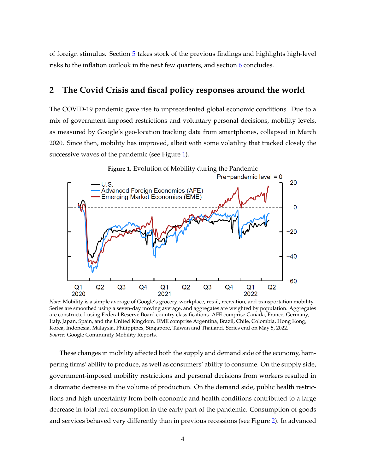of foreign stimulus. Section [5](#page-22-0) takes stock of the previous findings and highlights high-level risks to the inflation outlook in the next few quarters, and section [6](#page-23-0) concludes.

## <span id="page-3-0"></span>**2 The Covid Crisis and fiscal policy responses around the world**

The COVID-19 pandemic gave rise to unprecedented global economic conditions. Due to a mix of government-imposed restrictions and voluntary personal decisions, mobility levels, as measured by Google's geo-location tracking data from smartphones, collapsed in March 2020. Since then, mobility has improved, albeit with some volatility that tracked closely the successive waves of the pandemic (see Figure [1\)](#page-3-1).

<span id="page-3-1"></span>

*Note:* Mobility is a simple average of Google's grocery, workplace, retail, recreation, and transportation mobility. Series are smoothed using a seven-day moving average, and aggregates are weighted by population. Aggregates are constructed using Federal Reserve Board country classifications. AFE comprise Canada, France, Germany, Italy, Japan, Spain, and the United Kingdom. EME comprise Argentina, Brazil, Chile, Colombia, Hong Kong, Korea, Indonesia, Malaysia, Philippines, Singapore, Taiwan and Thailand. Series end on May 5, 2022. *Source:* Google Community Mobility Reports.

These changes in mobility affected both the supply and demand side of the economy, hampering firms' ability to produce, as well as consumers' ability to consume. On the supply side, government-imposed mobility restrictions and personal decisions from workers resulted in a dramatic decrease in the volume of production. On the demand side, public health restrictions and high uncertainty from both economic and health conditions contributed to a large decrease in total real consumption in the early part of the pandemic. Consumption of goods and services behaved very differently than in previous recessions (see Figure [2\)](#page-5-1). In advanced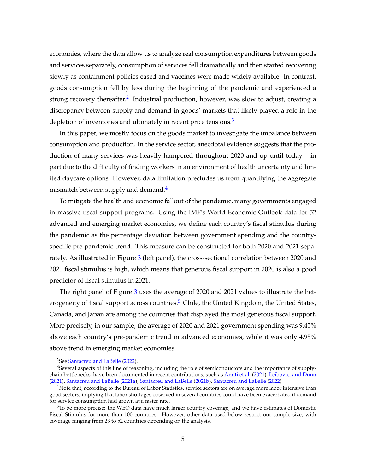economies, where the data allow us to analyze real consumption expenditures between goods and services separately, consumption of services fell dramatically and then started recovering slowly as containment policies eased and vaccines were made widely available. In contrast, goods consumption fell by less during the beginning of the pandemic and experienced a strong recovery thereafter.<sup>[2](#page-4-0)</sup> Industrial production, however, was slow to adjust, creating a discrepancy between supply and demand in goods' markets that likely played a role in the depletion of inventories and ultimately in recent price tensions.<sup>[3](#page-4-1)</sup>

In this paper, we mostly focus on the goods market to investigate the imbalance between consumption and production. In the service sector, anecdotal evidence suggests that the production of many services was heavily hampered throughout 2020 and up until today – in part due to the difficulty of finding workers in an environment of health uncertainty and limited daycare options. However, data limitation precludes us from quantifying the aggregate mismatch between supply and demand.<sup>[4](#page-4-2)</sup>

To mitigate the health and economic fallout of the pandemic, many governments engaged in massive fiscal support programs. Using the IMF's World Economic Outlook data for 52 advanced and emerging market economies, we define each country's fiscal stimulus during the pandemic as the percentage deviation between government spending and the countryspecific pre-pandemic trend. This measure can be constructed for both 2020 and 2021 sepa-rately. As illustrated in Figure [3](#page-6-0) (left panel), the cross-sectional correlation between 2020 and 2021 fiscal stimulus is high, which means that generous fiscal support in 2020 is also a good predictor of fiscal stimulus in 2021.

The right panel of Figure [3](#page-6-0) uses the average of 2020 and 2021 values to illustrate the het-erogeneity of fiscal support across countries.<sup>[5](#page-4-3)</sup> Chile, the United Kingdom, the United States, Canada, and Japan are among the countries that displayed the most generous fiscal support. More precisely, in our sample, the average of 2020 and 2021 government spending was 9.45% above each country's pre-pandemic trend in advanced economies, while it was only 4.95% above trend in emerging market economies.

<span id="page-4-1"></span><span id="page-4-0"></span><sup>2</sup>See [Santacreu and LaBelle](#page-25-2) [\(2022\)](#page-25-2).

<sup>&</sup>lt;sup>3</sup>Several aspects of this line of reasoning, including the role of semiconductors and the importance of supplychain bottlenecks, have been documented in recent contributions, such as [Amiti et al.](#page-24-5) [\(2021\)](#page-24-5), [Leibovici and Dunn](#page-24-6) [\(2021\)](#page-24-6), [Santacreu and LaBelle](#page-25-3) [\(2021a\)](#page-25-3), [Santacreu and LaBelle](#page-25-4) [\(2021b\)](#page-25-4), [Santacreu and LaBelle](#page-25-2) [\(2022\)](#page-25-2)

<span id="page-4-2"></span> $4$ Note that, according to the Bureau of Labor Statistics, service sectors are on average more labor intensive than good sectors, implying that labor shortages observed in several countries could have been exacerbated if demand for service consumption had grown at a faster rate.

<span id="page-4-3"></span><sup>5</sup>To be more precise: the WEO data have much larger country coverage, and we have estimates of Domestic Fiscal Stimulus for more than 100 countries. However, other data used below restrict our sample size, with coverage ranging from 23 to 52 countries depending on the analysis.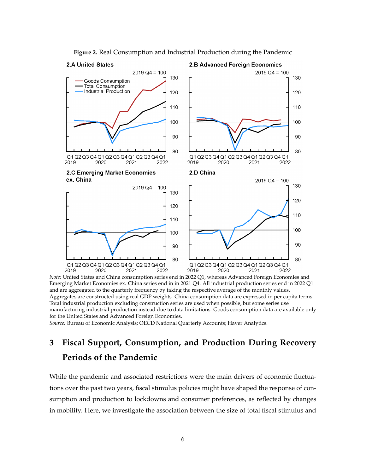

**Figure 2.** Real Consumption and Industrial Production during the Pandemic

#### <span id="page-5-1"></span>2.A United States

#### 2.B Advanced Foreign Economies

*Note:* United States and China consumption series end in 2022 Q1, whereas Advanced Foreign Economies and Emerging Market Economies ex. China series end in in 2021 Q4. All industrial production series end in 2022 Q1 and are aggregated to the quarterly frequency by taking the respective average of the monthly values. Aggregates are constructed using real GDP weights. China consumption data are expressed in per capita terms. Total industrial production excluding construction series are used when possible, but some series use manufacturing industrial production instead due to data limitations. Goods consumption data are available only for the United States and Advanced Foreign Economies.

*Source:* Bureau of Economic Analysis; OECD National Quarterly Accounts; Haver Analytics.

## <span id="page-5-0"></span>**3 Fiscal Support, Consumption, and Production During Recovery Periods of the Pandemic**

While the pandemic and associated restrictions were the main drivers of economic fluctuations over the past two years, fiscal stimulus policies might have shaped the response of consumption and production to lockdowns and consumer preferences, as reflected by changes in mobility. Here, we investigate the association between the size of total fiscal stimulus and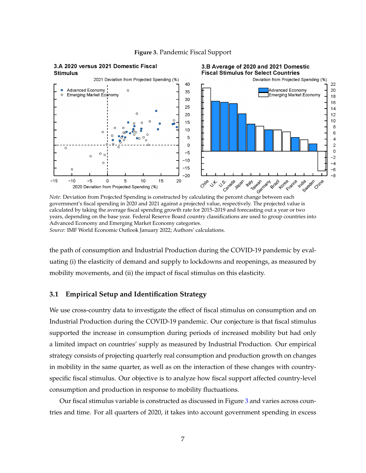<span id="page-6-0"></span>

**Figure 3.** Pandemic Fiscal Support

government's fiscal spending in 2020 and 2021 against a projected value, respectively. The projected value is calculated by taking the average fiscal spending growth rate for 2015–2019 and forecasting out a year or two years, depending on the base year. Federal Reserve Board country classifications are used to group countries into Advanced Economy and Emerging Market Economy categories. *Source:* IMF World Economic Outlook January 2022; Authors' calculations.

the path of consumption and Industrial Production during the COVID-19 pandemic by evaluating (i) the elasticity of demand and supply to lockdowns and reopenings, as measured by mobility movements, and (ii) the impact of fiscal stimulus on this elasticity.

#### **3.1 Empirical Setup and Identification Strategy**

We use cross-country data to investigate the effect of fiscal stimulus on consumption and on Industrial Production during the COVID-19 pandemic. Our conjecture is that fiscal stimulus supported the increase in consumption during periods of increased mobility but had only a limited impact on countries' supply as measured by Industrial Production. Our empirical strategy consists of projecting quarterly real consumption and production growth on changes in mobility in the same quarter, as well as on the interaction of these changes with countryspecific fiscal stimulus. Our objective is to analyze how fiscal support affected country-level consumption and production in response to mobility fluctuations.

Our fiscal stimulus variable is constructed as discussed in Figure [3](#page-6-0) and varies across countries and time. For all quarters of 2020, it takes into account government spending in excess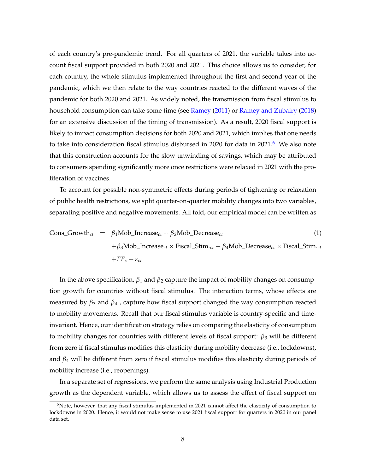of each country's pre-pandemic trend. For all quarters of 2021, the variable takes into account fiscal support provided in both 2020 and 2021. This choice allows us to consider, for each country, the whole stimulus implemented throughout the first and second year of the pandemic, which we then relate to the way countries reacted to the different waves of the pandemic for both 2020 and 2021. As widely noted, the transmission from fiscal stimulus to household consumption can take some time (see [Ramey](#page-24-7) [\(2011\)](#page-24-7) or [Ramey and Zubairy](#page-24-8) [\(2018\)](#page-24-8) for an extensive discussion of the timing of transmission). As a result, 2020 fiscal support is likely to impact consumption decisions for both 2020 and 2021, which implies that one needs to take into consideration fiscal stimulus disbursed in 2020 for data in 2021.<sup>[6](#page-7-0)</sup> We also note that this construction accounts for the slow unwinding of savings, which may be attributed to consumers spending significantly more once restrictions were relaxed in 2021 with the proliferation of vaccines.

To account for possible non-symmetric effects during periods of tightening or relaxation of public health restrictions, we split quarter-on-quarter mobility changes into two variables, separating positive and negative movements. All told, our empirical model can be written as

Cons\_Growth<sub>ct</sub> = 
$$
\beta_1
$$
Mob\_Increase<sub>ct</sub> +  $\beta_2$ Mob\_Decrease<sub>ct</sub> (1)  
+ $\beta_3$ Mob\_Increase<sub>ct</sub> × Fiscal\_Stim.<sub>ct</sub> +  $\beta_4$ Mob\_Decrease<sub>ct</sub> × Fiscal\_Stim.<sub>ct</sub>  
+ $FE_c + \varepsilon_{ct}$ 

In the above specification,  $β_1$  and  $β_2$  capture the impact of mobility changes on consumption growth for countries without fiscal stimulus. The interaction terms, whose effects are measured by  $\beta_3$  and  $\beta_4$ , capture how fiscal support changed the way consumption reacted to mobility movements. Recall that our fiscal stimulus variable is country-specific and timeinvariant. Hence, our identification strategy relies on comparing the elasticity of consumption to mobility changes for countries with different levels of fiscal support:  $\beta_3$  will be different from zero if fiscal stimulus modifies this elasticity during mobility decrease (i.e., lockdowns), and  $\beta_4$  will be different from zero if fiscal stimulus modifies this elasticity during periods of mobility increase (i.e., reopenings).

In a separate set of regressions, we perform the same analysis using Industrial Production growth as the dependent variable, which allows us to assess the effect of fiscal support on

<span id="page-7-0"></span><sup>&</sup>lt;sup>6</sup>Note, however, that any fiscal stimulus implemented in 2021 cannot affect the elasticity of consumption to lockdowns in 2020. Hence, it would not make sense to use 2021 fiscal support for quarters in 2020 in our panel data set.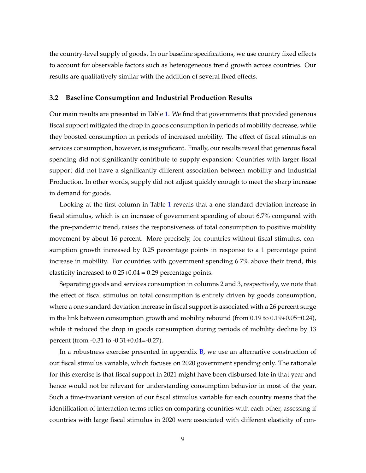the country-level supply of goods. In our baseline specifications, we use country fixed effects to account for observable factors such as heterogeneous trend growth across countries. Our results are qualitatively similar with the addition of several fixed effects.

#### **3.2 Baseline Consumption and Industrial Production Results**

Our main results are presented in Table [1.](#page-9-0) We find that governments that provided generous fiscal support mitigated the drop in goods consumption in periods of mobility decrease, while they boosted consumption in periods of increased mobility. The effect of fiscal stimulus on services consumption, however, is insignificant. Finally, our results reveal that generous fiscal spending did not significantly contribute to supply expansion: Countries with larger fiscal support did not have a significantly different association between mobility and Industrial Production. In other words, supply did not adjust quickly enough to meet the sharp increase in demand for goods.

Looking at the first column in Table [1](#page-9-0) reveals that a one standard deviation increase in fiscal stimulus, which is an increase of government spending of about 6.7% compared with the pre-pandemic trend, raises the responsiveness of total consumption to positive mobility movement by about 16 percent. More precisely, for countries without fiscal stimulus, consumption growth increased by 0.25 percentage points in response to a 1 percentage point increase in mobility. For countries with government spending 6.7% above their trend, this elasticity increased to  $0.25+0.04 = 0.29$  percentage points.

Separating goods and services consumption in columns 2 and 3, respectively, we note that the effect of fiscal stimulus on total consumption is entirely driven by goods consumption, where a one standard deviation increase in fiscal support is associated with a 26 percent surge in the link between consumption growth and mobility rebound (from 0.19 to 0.19+0.05=0.24), while it reduced the drop in goods consumption during periods of mobility decline by 13 percent (from -0.31 to -0.31+0.04=-0.27).

In a robustness exercise presented in appendix [B,](#page-25-5) we use an alternative construction of our fiscal stimulus variable, which focuses on 2020 government spending only. The rationale for this exercise is that fiscal support in 2021 might have been disbursed late in that year and hence would not be relevant for understanding consumption behavior in most of the year. Such a time-invariant version of our fiscal stimulus variable for each country means that the identification of interaction terms relies on comparing countries with each other, assessing if countries with large fiscal stimulus in 2020 were associated with different elasticity of con-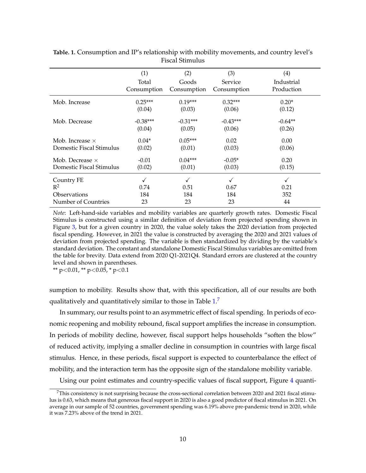|                          | (1)                  | (2)                  | (3)                    | (4)                      |
|--------------------------|----------------------|----------------------|------------------------|--------------------------|
|                          | Total<br>Consumption | Goods<br>Consumption | Service<br>Consumption | Industrial<br>Production |
| Mob. Increase            | $0.25***$            | $0.19***$            | $0.32***$              | $0.20*$                  |
|                          | (0.04)               | (0.03)               | (0.06)                 | (0.12)                   |
| Mob. Decrease            | $-0.38***$           | $-0.31***$           | $-0.43***$             | $-0.64**$                |
|                          | (0.04)               | (0.05)               | (0.06)                 | (0.26)                   |
| Mob. Increase $\times$   | $0.04*$              | $0.05***$            | 0.02                   | 0.00                     |
| Domestic Fiscal Stimulus | (0.02)               | (0.01)               | (0.03)                 | (0.06)                   |
| Mob. Decrease $\times$   | $-0.01$              | $0.04***$            | $-0.05*$               | 0.20                     |
| Domestic Fiscal Stimulus | (0.02)               | (0.01)               | (0.03)                 | (0.15)                   |
| Country FE               |                      |                      |                        | ✓                        |
| $R^2$                    | 0.74                 | 0.51                 | 0.67                   | 0.21                     |
| Observations             | 184                  | 184                  | 184                    | 352                      |
| Number of Countries      | 23                   | 23                   | 23                     | 44                       |

<span id="page-9-0"></span>**Table. 1.** Consumption and IP's relationship with mobility movements, and country level's Fiscal Stimulus

*Note*: Left-hand-side variables and mobility variables are quarterly growth rates. Domestic Fiscal Stimulus is constructed using a similar definition of deviation from projected spending shown in Figure [3,](#page-6-0) but for a given country in 2020, the value solely takes the 2020 deviation from projected fiscal spending. However, in 2021 the value is constructed by averaging the 2020 and 2021 values of deviation from projected spending. The variable is then standardized by dividing by the variable's standard deviation. The constant and standalone Domestic Fiscal Stimulus variables are omitted from the table for brevity. Data extend from 2020 Q1-2021Q4. Standard errors are clustered at the country level and shown in parentheses.

\*\*  $p < 0.01$ , \*\*  $p < 0.05$ , \*  $p < 0.1$ 

sumption to mobility. Results show that, with this specification, all of our results are both qualitatively and quantitatively similar to those in Table  $1<sup>7</sup>$  $1<sup>7</sup>$  $1<sup>7</sup>$ 

In summary, our results point to an asymmetric effect of fiscal spending. In periods of economic reopening and mobility rebound, fiscal support amplifies the increase in consumption. In periods of mobility decline, however, fiscal support helps households "soften the blow" of reduced activity, implying a smaller decline in consumption in countries with large fiscal stimulus. Hence, in these periods, fiscal support is expected to counterbalance the effect of mobility, and the interaction term has the opposite sign of the standalone mobility variable.

Using our point estimates and country-specific values of fiscal support, Figure [4](#page-10-0) quanti-

<span id="page-9-1"></span><sup>7</sup>This consistency is not surprising because the cross-sectional correlation between 2020 and 2021 fiscal stimulus is 0.63, which means that generous fiscal support in 2020 is also a good predictor of fiscal stimulus in 2021. On average in our sample of 52 countries, government spending was 6.19% above pre-pandemic trend in 2020, while it was 7.23% above of the trend in 2021.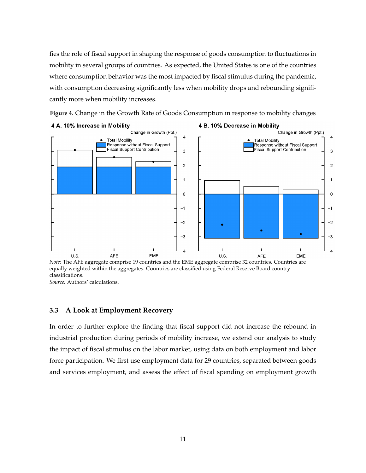fies the role of fiscal support in shaping the response of goods consumption to fluctuations in mobility in several groups of countries. As expected, the United States is one of the countries where consumption behavior was the most impacted by fiscal stimulus during the pandemic, with consumption decreasing significantly less when mobility drops and rebounding significantly more when mobility increases.



<span id="page-10-0"></span>**Figure 4.** Change in the Growth Rate of Goods Consumption in response to mobility changes

*Note:* The AFE aggregate comprise 19 countries and the EME aggregate comprise 32 countries. Countries are equally weighted within the aggregates. Countries are classified using Federal Reserve Board country classifications.

*Source:* Authors' calculations.

#### **3.3 A Look at Employment Recovery**

In order to further explore the finding that fiscal support did not increase the rebound in industrial production during periods of mobility increase, we extend our analysis to study the impact of fiscal stimulus on the labor market, using data on both employment and labor force participation. We first use employment data for 29 countries, separated between goods and services employment, and assess the effect of fiscal spending on employment growth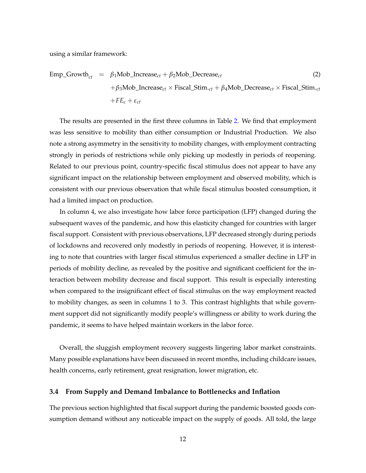using a similar framework:

$$
Emp\_Growth_{ct} = \beta_1 \text{Mob\_Increase}_{ct} + \beta_2 \text{Mob\_Decrease}_{ct}
$$
  
+ $\beta_3 \text{Mob\_Increase}_{ct} \times \text{Fiscal\_Stim.}_{ct} + \beta_4 \text{Mob\_Decrease}_{ct} \times \text{Fiscal\_Stim.}_{ct}$   
+ $FE_c + \varepsilon_{ct}$  (2)

The results are presented in the first three columns in Table [2.](#page-12-0) We find that employment was less sensitive to mobility than either consumption or Industrial Production. We also note a strong asymmetry in the sensitivity to mobility changes, with employment contracting strongly in periods of restrictions while only picking up modestly in periods of reopening. Related to our previous point, country-specific fiscal stimulus does not appear to have any significant impact on the relationship between employment and observed mobility, which is consistent with our previous observation that while fiscal stimulus boosted consumption, it had a limited impact on production.

In column 4, we also investigate how labor force participation (LFP) changed during the subsequent waves of the pandemic, and how this elasticity changed for countries with larger fiscal support. Consistent with previous observations, LFP decreased strongly during periods of lockdowns and recovered only modestly in periods of reopening. However, it is interesting to note that countries with larger fiscal stimulus experienced a smaller decline in LFP in periods of mobility decline, as revealed by the positive and significant coefficient for the interaction between mobility decrease and fiscal support. This result is especially interesting when compared to the insignificant effect of fiscal stimulus on the way employment reacted to mobility changes, as seen in columns 1 to 3. This contrast highlights that while government support did not significantly modify people's willingness or ability to work during the pandemic, it seems to have helped maintain workers in the labor force.

Overall, the sluggish employment recovery suggests lingering labor market constraints. Many possible explanations have been discussed in recent months, including childcare issues, health concerns, early retirement, great resignation, lower migration, etc.

#### **3.4 From Supply and Demand Imbalance to Bottlenecks and Inflation**

The previous section highlighted that fiscal support during the pandemic boosted goods consumption demand without any noticeable impact on the supply of goods. All told, the large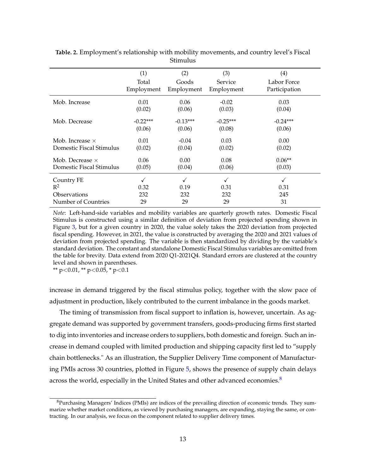|                                                                   | (1)               | (2)               | (3)                    | (4)                    |
|-------------------------------------------------------------------|-------------------|-------------------|------------------------|------------------------|
|                                                                   | Total             | Goods             | <b>Service</b>         | Labor Force            |
|                                                                   | Employment        | Employment        | Employment             | Participation          |
| Mob. Increase                                                     | 0.01              | 0.06              | $-0.02$                | 0.03                   |
|                                                                   | (0.02)            | (0.06)            | (0.03)                 | (0.04)                 |
| Mob. Decrease                                                     | $-0.22***$        | $-0.13***$        | $-0.25***$             | $-0.24***$             |
|                                                                   | (0.06)            | (0.06)            | (0.08)                 | (0.06)                 |
| Mob. Increase $\times$                                            | 0.01              | $-0.04$           | 0.03                   | 0.00                   |
| Domestic Fiscal Stimulus                                          | (0.02)            | (0.04)            | (0.02)                 | (0.02)                 |
| Mob. Decrease $\times$                                            | 0.06              | 0.00              | 0.08                   | $0.06**$               |
| Domestic Fiscal Stimulus                                          | (0.05)            | (0.04)            | (0.06)                 | (0.03)                 |
| Country FE<br>$R^2$<br><b>Observations</b><br>Number of Countries | 0.32<br>232<br>29 | 0.19<br>232<br>29 | ✓<br>0.31<br>232<br>29 | √<br>0.31<br>245<br>31 |

<span id="page-12-0"></span>**Table. 2.** Employment's relationship with mobility movements, and country level's Fiscal Stimulus

*Note*: Left-hand-side variables and mobility variables are quarterly growth rates. Domestic Fiscal Stimulus is constructed using a similar definition of deviation from projected spending shown in Figure [3,](#page-6-0) but for a given country in 2020, the value solely takes the 2020 deviation from projected fiscal spending. However, in 2021, the value is constructed by averaging the 2020 and 2021 values of deviation from projected spending. The variable is then standardized by dividing by the variable's standard deviation. The constant and standalone Domestic Fiscal Stimulus variables are omitted from the table for brevity. Data extend from 2020 Q1-2021Q4. Standard errors are clustered at the country level and shown in parentheses.

\*\*  $p < 0.01$ , \*\*  $p < 0.05$ , \*  $p < 0.1$ 

increase in demand triggered by the fiscal stimulus policy, together with the slow pace of adjustment in production, likely contributed to the current imbalance in the goods market.

The timing of transmission from fiscal support to inflation is, however, uncertain. As aggregate demand was supported by government transfers, goods-producing firms first started to dig into inventories and increase orders to suppliers, both domestic and foreign. Such an increase in demand coupled with limited production and shipping capacity first led to "supply chain bottlenecks." As an illustration, the Supplier Delivery Time component of Manufacturing PMIs across 30 countries, plotted in Figure [5,](#page-13-1) shows the presence of supply chain delays across the world, especially in the United States and other advanced economies.<sup>[8](#page-12-1)</sup>

<span id="page-12-1"></span><sup>&</sup>lt;sup>8</sup>Purchasing Managers' Indices (PMIs) are indices of the prevailing direction of economic trends. They summarize whether market conditions, as viewed by purchasing managers, are expanding, staying the same, or contracting. In our analysis, we focus on the component related to supplier delivery times.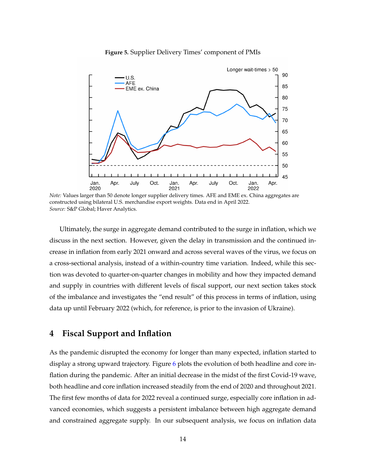<span id="page-13-1"></span>

**Figure 5.** Supplier Delivery Times' component of PMIs

Ultimately, the surge in aggregate demand contributed to the surge in inflation, which we discuss in the next section. However, given the delay in transmission and the continued increase in inflation from early 2021 onward and across several waves of the virus, we focus on a cross-sectional analysis, instead of a within-country time variation. Indeed, while this section was devoted to quarter-on-quarter changes in mobility and how they impacted demand and supply in countries with different levels of fiscal support, our next section takes stock of the imbalance and investigates the "end result" of this process in terms of inflation, using data up until February 2022 (which, for reference, is prior to the invasion of Ukraine).

## <span id="page-13-0"></span>**4 Fiscal Support and Inflation**

As the pandemic disrupted the economy for longer than many expected, inflation started to display a strong upward trajectory. Figure [6](#page-14-0) plots the evolution of both headline and core inflation during the pandemic. After an initial decrease in the midst of the first Covid-19 wave, both headline and core inflation increased steadily from the end of 2020 and throughout 2021. The first few months of data for 2022 reveal a continued surge, especially core inflation in advanced economies, which suggests a persistent imbalance between high aggregate demand and constrained aggregate supply. In our subsequent analysis, we focus on inflation data

*Note:* Values larger than 50 denote longer supplier delivery times. AFE and EME ex. China aggregates are constructed using bilateral U.S. merchandise export weights. Data end in April 2022. *Source:* S&P Global; Haver Analytics.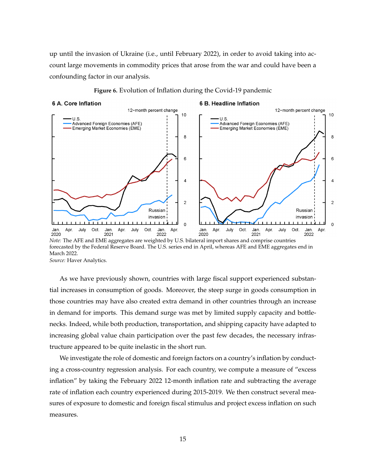up until the invasion of Ukraine (i.e., until February 2022), in order to avoid taking into account large movements in commodity prices that arose from the war and could have been a confounding factor in our analysis.

#### **Figure 6.** Evolution of Inflation during the Covid-19 pandemic

#### <span id="page-14-0"></span>6 A. Core Inflation

#### 6 B. Headline Inflation



*Note:* The AFE and EME aggregates are weighted by U.S. bilateral import shares and comprise countries forecasted by the Federal Reserve Board. The U.S. series end in April, whereas AFE and EME aggregates end in March 2022. *Source:* Haver Analytics.

As we have previously shown, countries with large fiscal support experienced substantial increases in consumption of goods. Moreover, the steep surge in goods consumption in those countries may have also created extra demand in other countries through an increase in demand for imports. This demand surge was met by limited supply capacity and bottlenecks. Indeed, while both production, transportation, and shipping capacity have adapted to increasing global value chain participation over the past few decades, the necessary infrastructure appeared to be quite inelastic in the short run.

We investigate the role of domestic and foreign factors on a country's inflation by conducting a cross-country regression analysis. For each country, we compute a measure of "excess inflation" by taking the February 2022 12-month inflation rate and subtracting the average rate of inflation each country experienced during 2015-2019. We then construct several measures of exposure to domestic and foreign fiscal stimulus and project excess inflation on such measures.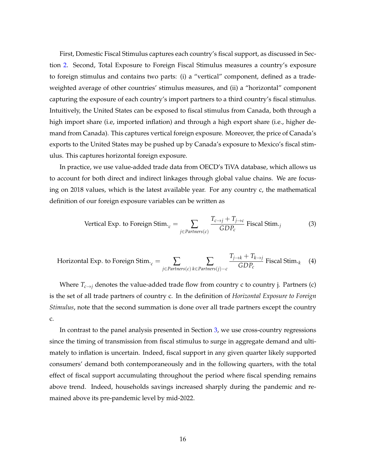First, Domestic Fiscal Stimulus captures each country's fiscal support, as discussed in Section [2.](#page-3-0) Second, Total Exposure to Foreign Fiscal Stimulus measures a country's exposure to foreign stimulus and contains two parts: (i) a "vertical" component, defined as a tradeweighted average of other countries' stimulus measures, and (ii) a "horizontal" component capturing the exposure of each country's import partners to a third country's fiscal stimulus. Intuitively, the United States can be exposed to fiscal stimulus from Canada, both through a high import share (i.e, imported inflation) and through a high export share (i.e., higher demand from Canada). This captures vertical foreign exposure. Moreover, the price of Canada's exports to the United States may be pushed up by Canada's exposure to Mexico's fiscal stimulus. This captures horizontal foreign exposure.

In practice, we use value-added trade data from OECD's TiVA database, which allows us to account for both direct and indirect linkages through global value chains. We are focusing on 2018 values, which is the latest available year. For any country c, the mathematical definition of our foreign exposure variables can be written as

Vertical Exp. to Foreign 
$$
\text{Stim.}_c = \sum_{j \in \text{Partners}(c)} \frac{T_{c \to j} + T_{j \to c}}{GDP_c}
$$
 Fiscal  $\text{Stim.}_j$  (3)

Horizontal Exp. to Foreign 
$$
\text{Stim.}_c = \sum_{j \in \text{Partners}(c)} \sum_{k \in \text{Partners}(j) - c} \frac{T_{j \to k} + T_{k \to j}}{GDP_c} \text{ Fiscal Stim.}_k \quad (4)
$$

Where  $T_{c\rightarrow j}$  denotes the value-added trade flow from country c to country j. Partners (c) is the set of all trade partners of country c. In the definition of *Horizontal Exposure to Foreign Stimulus*, note that the second summation is done over all trade partners except the country c.

In contrast to the panel analysis presented in Section [3,](#page-5-0) we use cross-country regressions since the timing of transmission from fiscal stimulus to surge in aggregate demand and ultimately to inflation is uncertain. Indeed, fiscal support in any given quarter likely supported consumers' demand both contemporaneously and in the following quarters, with the total effect of fiscal support accumulating throughout the period where fiscal spending remains above trend. Indeed, households savings increased sharply during the pandemic and remained above its pre-pandemic level by mid-2022.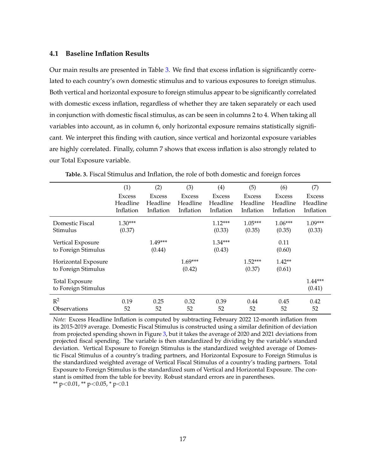#### **4.1 Baseline Inflation Results**

Our main results are presented in Table [3.](#page-16-0) We find that excess inflation is significantly correlated to each country's own domestic stimulus and to various exposures to foreign stimulus. Both vertical and horizontal exposure to foreign stimulus appear to be significantly correlated with domestic excess inflation, regardless of whether they are taken separately or each used in conjunction with domestic fiscal stimulus, as can be seen in columns 2 to 4. When taking all variables into account, as in column 6, only horizontal exposure remains statistically significant. We interpret this finding with caution, since vertical and horizontal exposure variables are highly correlated. Finally, column 7 shows that excess inflation is also strongly related to our Total Exposure variable.

<span id="page-16-0"></span>

|                                              | (1)                                    | (2)                                    | (3)                                    | (4)                                    | (5)                                    | (6)                                    | (7)                                    |
|----------------------------------------------|----------------------------------------|----------------------------------------|----------------------------------------|----------------------------------------|----------------------------------------|----------------------------------------|----------------------------------------|
|                                              | <b>Excess</b><br>Headline<br>Inflation | <b>Excess</b><br>Headline<br>Inflation | <b>Excess</b><br>Headline<br>Inflation | <b>Excess</b><br>Headline<br>Inflation | <b>Excess</b><br>Headline<br>Inflation | <b>Excess</b><br>Headline<br>Inflation | <b>Excess</b><br>Headline<br>Inflation |
| Domestic Fiscal<br>Stimulus                  | $1.30***$<br>(0.37)                    |                                        |                                        | $1.12***$<br>(0.33)                    | $1.05***$<br>(0.35)                    | $1.06***$<br>(0.35)                    | $1.09***$<br>(0.33)                    |
| Vertical Exposure<br>to Foreign Stimulus     |                                        | $1.49***$<br>(0.44)                    |                                        | $1.34***$<br>(0.43)                    |                                        | 0.11<br>(0.60)                         |                                        |
| Horizontal Exposure<br>to Foreign Stimulus   |                                        |                                        | $1.69***$<br>(0.42)                    |                                        | $1.52***$<br>(0.37)                    | $1.42**$<br>(0.61)                     |                                        |
| <b>Total Exposure</b><br>to Foreign Stimulus |                                        |                                        |                                        |                                        |                                        |                                        | $1.44***$<br>(0.41)                    |
| $R^2$<br>Observations                        | 0.19<br>52                             | 0.25<br>52                             | 0.32<br>52                             | 0.39<br>52                             | 0.44<br>52                             | 0.45<br>52                             | 0.42<br>52                             |

**Table. 3.** Fiscal Stimulus and Inflation, the role of both domestic and foreign forces

*Note:* Excess Headline Inflation is computed by subtracting February 2022 12-month inflation from its 2015-2019 average. Domestic Fiscal Stimulus is constructed using a similar definition of deviation from projected spending shown in Figure [3,](#page-6-0) but it takes the average of 2020 and 2021 deviations from projected fiscal spending. The variable is then standardized by dividing by the variable's standard deviation. Vertical Exposure to Foreign Stimulus is the standardized weighted average of Domestic Fiscal Stimulus of a country's trading partners, and Horizontal Exposure to Foreign Stimulus is the standardized weighted average of Vertical Fiscal Stimulus of a country's trading partners. Total Exposure to Foreign Stimulus is the standardized sum of Vertical and Horizontal Exposure. The constant is omitted from the table for brevity. Robust standard errors are in parentheses. \*\* p<0.01, \*\* p<0.05, \* p<0.1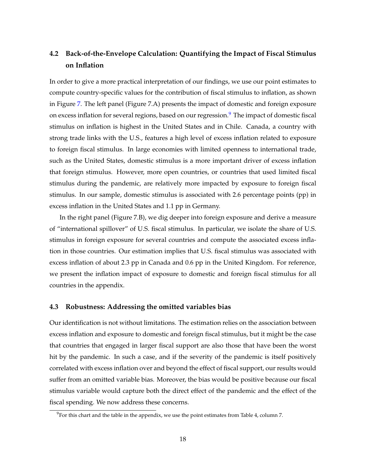## **4.2 Back-of-the-Envelope Calculation: Quantifying the Impact of Fiscal Stimulus on Inflation**

In order to give a more practical interpretation of our findings, we use our point estimates to compute country-specific values for the contribution of fiscal stimulus to inflation, as shown in Figure [7.](#page-18-0) The left panel (Figure 7.A) presents the impact of domestic and foreign exposure on excess inflation for several regions, based on our regression.<sup>[9](#page-17-0)</sup> The impact of domestic fiscal stimulus on inflation is highest in the United States and in Chile. Canada, a country with strong trade links with the U.S., features a high level of excess inflation related to exposure to foreign fiscal stimulus. In large economies with limited openness to international trade, such as the United States, domestic stimulus is a more important driver of excess inflation that foreign stimulus. However, more open countries, or countries that used limited fiscal stimulus during the pandemic, are relatively more impacted by exposure to foreign fiscal stimulus. In our sample, domestic stimulus is associated with 2.6 percentage points (pp) in excess inflation in the United States and 1.1 pp in Germany.

In the right panel (Figure 7.B), we dig deeper into foreign exposure and derive a measure of "international spillover" of U.S. fiscal stimulus. In particular, we isolate the share of U.S. stimulus in foreign exposure for several countries and compute the associated excess inflation in those countries. Our estimation implies that U.S. fiscal stimulus was associated with excess inflation of about 2.3 pp in Canada and 0.6 pp in the United Kingdom. For reference, we present the inflation impact of exposure to domestic and foreign fiscal stimulus for all countries in the appendix.

#### **4.3 Robustness: Addressing the omitted variables bias**

Our identification is not without limitations. The estimation relies on the association between excess inflation and exposure to domestic and foreign fiscal stimulus, but it might be the case that countries that engaged in larger fiscal support are also those that have been the worst hit by the pandemic. In such a case, and if the severity of the pandemic is itself positively correlated with excess inflation over and beyond the effect of fiscal support, our results would suffer from an omitted variable bias. Moreover, the bias would be positive because our fiscal stimulus variable would capture both the direct effect of the pandemic and the effect of the fiscal spending. We now address these concerns.

<span id="page-17-0"></span> $9$ For this chart and the table in the appendix, we use the point estimates from Table 4, column 7.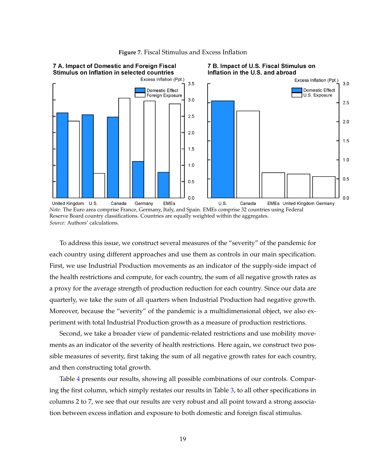<span id="page-18-0"></span>

**Figure 7.** Fiscal Stimulus and Excess Inflation

*Note:* The Euro area comprise France, Germany, Italy, and Spain. EMEs comprise 32 countries using Federal Reserve Board country classifications. Countries are equally weighted within the aggregates. *Source:* Authors' calculations.

To address this issue, we construct several measures of the "severity" of the pandemic for each country using different approaches and use them as controls in our main specification. First, we use Industrial Production movements as an indicator of the supply-side impact of the health restrictions and compute, for each country, the sum of all negative growth rates as a proxy for the average strength of production reduction for each country. Since our data are quarterly, we take the sum of all quarters when Industrial Production had negative growth. Moreover, because the "severity" of the pandemic is a multidimensional object, we also experiment with total Industrial Production growth as a measure of production restrictions.

Second, we take a broader view of pandemic-related restrictions and use mobility movements as an indicator of the severity of health restrictions. Here again, we construct two possible measures of severity, first taking the sum of all negative growth rates for each country, and then constructing total growth.

Table [4](#page-19-0) presents our results, showing all possible combinations of our controls. Comparing the first column, which simply restates our results in Table [3,](#page-16-0) to all other specifications in columns 2 to 7, we see that our results are very robust and all point toward a strong association between excess inflation and exposure to both domestic and foreign fiscal stimulus.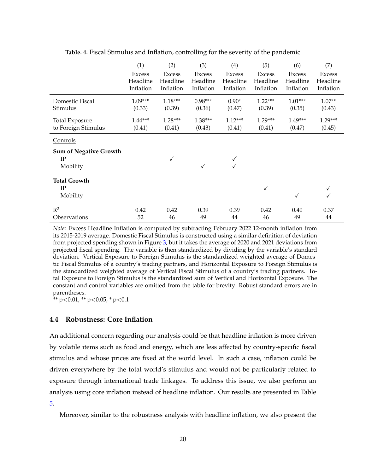<span id="page-19-0"></span>

|                               | (1)                       | (2)                       | (3)                       | (4)                       | (5)                       | (6)                | (7)                       |
|-------------------------------|---------------------------|---------------------------|---------------------------|---------------------------|---------------------------|--------------------|---------------------------|
|                               | <b>Excess</b><br>Headline | <b>Excess</b><br>Headline | <b>Excess</b><br>Headline | <b>Excess</b><br>Headline | <b>Excess</b><br>Headline | Excess<br>Headline | <b>Excess</b><br>Headline |
|                               | Inflation                 | Inflation                 | Inflation                 | Inflation                 | Inflation                 | Inflation          | Inflation                 |
| Domestic Fiscal               | 1.09***                   | $1.18***$                 | $0.98***$                 | $0.90*$                   | $1.22***$                 | $1.01***$          | $1.07**$                  |
| Stimulus                      | (0.33)                    | (0.39)                    | (0.36)                    | (0.47)                    | (0.39)                    | (0.35)             | (0.43)                    |
| <b>Total Exposure</b>         | $1.44***$                 | $1.28***$                 | $1.38***$                 | $1.12***$                 | $1.29***$                 | 1.49***            | 1.29***                   |
| to Foreign Stimulus           | (0.41)                    | (0.41)                    | (0.43)                    | (0.41)                    | (0.41)                    | (0.47)             | (0.45)                    |
| Controls                      |                           |                           |                           |                           |                           |                    |                           |
| <b>Sum of Negative Growth</b> |                           |                           |                           |                           |                           |                    |                           |
| $_{\rm IP}$<br>Mobility       |                           | $\checkmark$              |                           |                           |                           |                    |                           |
|                               |                           |                           |                           |                           |                           |                    |                           |
| <b>Total Growth</b>           |                           |                           |                           |                           |                           |                    |                           |
| IP                            |                           |                           |                           |                           | ✓                         |                    |                           |
| Mobility                      |                           |                           |                           |                           |                           | $\checkmark$       |                           |
| $R^2$                         | 0.42                      | 0.42                      | 0.39                      | 0.39                      | 0.42                      | 0.40               | 0.37                      |
| Observations                  | 52                        | 46                        | 49                        | 44                        | 46                        | 49                 | 44                        |

**Table. 4.** Fiscal Stimulus and Inflation, controlling for the severity of the pandemic

*Note:* Excess Headline Inflation is computed by subtracting February 2022 12-month inflation from its 2015-2019 average. Domestic Fiscal Stimulus is constructed using a similar definition of deviation from projected spending shown in Figure [3,](#page-6-0) but it takes the average of 2020 and 2021 deviations from projected fiscal spending. The variable is then standardized by dividing by the variable's standard deviation. Vertical Exposure to Foreign Stimulus is the standardized weighted average of Domestic Fiscal Stimulus of a country's trading partners, and Horizontal Exposure to Foreign Stimulus is the standardized weighted average of Vertical Fiscal Stimulus of a country's trading partners. Total Exposure to Foreign Stimulus is the standardized sum of Vertical and Horizontal Exposure. The constant and control variables are omitted from the table for brevity. Robust standard errors are in parentheses.

\*\*  $p<0.01$ , \*\*  $p<0.05$ , \*  $p<0.1$ 

#### **4.4 Robustness: Core Inflation**

An additional concern regarding our analysis could be that headline inflation is more driven by volatile items such as food and energy, which are less affected by country-specific fiscal stimulus and whose prices are fixed at the world level. In such a case, inflation could be driven everywhere by the total world's stimulus and would not be particularly related to exposure through international trade linkages. To address this issue, we also perform an analysis using core inflation instead of headline inflation. Our results are presented in Table [5.](#page-20-0)

Moreover, similar to the robustness analysis with headline inflation, we also present the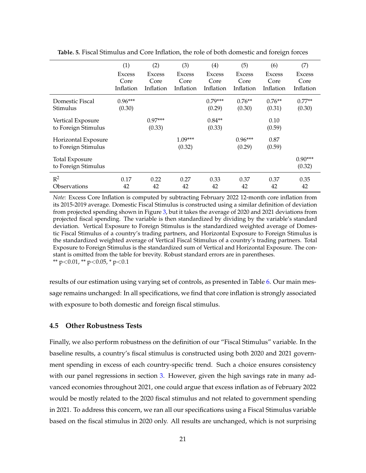|                       | (1)                   | (2)                   | (3)                   | (4)                   | (5)                   | (6)                   | (7)                   |
|-----------------------|-----------------------|-----------------------|-----------------------|-----------------------|-----------------------|-----------------------|-----------------------|
|                       | <b>Excess</b><br>Core | <b>Excess</b><br>Core | <b>Excess</b><br>Core | <b>Excess</b><br>Core | <b>Excess</b><br>Core | <b>Excess</b><br>Core | <b>Excess</b><br>Core |
|                       | Inflation             | Inflation             | Inflation             | Inflation             | Inflation             | Inflation             | Inflation             |
| Domestic Fiscal       | $0.96***$             |                       |                       | $0.79***$             | $0.76**$              | $0.76**$              | $0.77**$              |
| Stimulus              | (0.30)                |                       |                       | (0.29)                | (0.30)                | (0.31)                | (0.30)                |
| Vertical Exposure     |                       | $0.97***$             |                       | $0.84**$              |                       | 0.10                  |                       |
| to Foreign Stimulus   |                       | (0.33)                |                       | (0.33)                |                       | (0.59)                |                       |
| Horizontal Exposure   |                       |                       | $1.09***$             |                       | $0.96***$             | 0.87                  |                       |
| to Foreign Stimulus   |                       |                       | (0.32)                |                       | (0.29)                | (0.59)                |                       |
| <b>Total Exposure</b> |                       |                       |                       |                       |                       |                       | $0.90***$             |
| to Foreign Stimulus   |                       |                       |                       |                       |                       |                       | (0.32)                |
| $R^2$                 | 0.17                  | 0.22                  | 0.27                  | 0.33                  | 0.37                  | 0.37                  | 0.35                  |
| Observations          | 42                    | 42                    | 42                    | 42                    | 42                    | 42                    | 42                    |

<span id="page-20-0"></span>**Table. 5.** Fiscal Stimulus and Core Inflation, the role of both domestic and foreign forces

*Note:* Excess Core Inflation is computed by subtracting February 2022 12-month core inflation from its 2015-2019 average. Domestic Fiscal Stimulus is constructed using a similar definition of deviation from projected spending shown in Figure [3,](#page-6-0) but it takes the average of 2020 and 2021 deviations from projected fiscal spending. The variable is then standardized by dividing by the variable's standard deviation. Vertical Exposure to Foreign Stimulus is the standardized weighted average of Domestic Fiscal Stimulus of a country's trading partners, and Horizontal Exposure to Foreign Stimulus is the standardized weighted average of Vertical Fiscal Stimulus of a country's trading partners. Total Exposure to Foreign Stimulus is the standardized sum of Vertical and Horizontal Exposure. The constant is omitted from the table for brevity. Robust standard errors are in parentheses. \*\*  $p<0.01$ , \*\*  $p<0.05$ , \*  $p<0.1$ 

results of our estimation using varying set of controls, as presented in Table [6.](#page-21-0) Our main message remains unchanged: In all specifications, we find that core inflation is strongly associated with exposure to both domestic and foreign fiscal stimulus.

#### **4.5 Other Robustness Tests**

Finally, we also perform robustness on the definition of our "Fiscal Stimulus" variable. In the baseline results, a country's fiscal stimulus is constructed using both 2020 and 2021 government spending in excess of each country-specific trend. Such a choice ensures consistency with our panel regressions in section [3.](#page-5-0) However, given the high savings rate in many advanced economies throughout 2021, one could argue that excess inflation as of February 2022 would be mostly related to the 2020 fiscal stimulus and not related to government spending in 2021. To address this concern, we ran all our specifications using a Fiscal Stimulus variable based on the fiscal stimulus in 2020 only. All results are unchanged, which is not surprising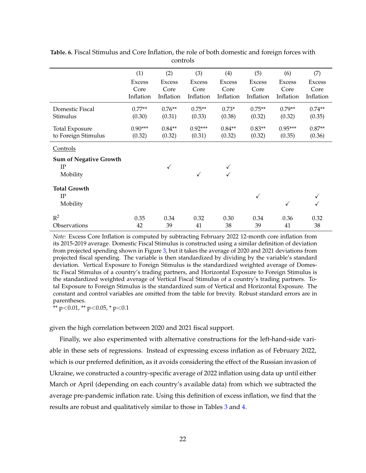|                               | (1)           | (2)           | (3)           | (4)           | (5)           | (6)           | (7)           |
|-------------------------------|---------------|---------------|---------------|---------------|---------------|---------------|---------------|
|                               | <b>Excess</b> | <b>Excess</b> | <b>Excess</b> | <b>Excess</b> | <b>Excess</b> | <b>Excess</b> | <b>Excess</b> |
|                               | Core          | Core          | Core          | Core          | Core          | Core          | Core          |
|                               | Inflation     | Inflation     | Inflation     | Inflation     | Inflation     | Inflation     | Inflation     |
| Domestic Fiscal               | $0.77**$      | $0.76**$      | $0.75**$      | $0.73*$       | $0.75**$      | $0.79**$      | $0.74**$      |
| Stimulus                      | (0.30)        | (0.31)        | (0.33)        | (0.38)        | (0.32)        | (0.32)        | (0.35)        |
| <b>Total Exposure</b>         | $0.90***$     | $0.84**$      | $0.92***$     | $0.84**$      | $0.83**$      | $0.95***$     | $0.87**$      |
| to Foreign Stimulus           | (0.32)        | (0.32)        | (0.31)        | (0.32)        | (0.32)        | (0.35)        | (0.36)        |
| Controls                      |               |               |               |               |               |               |               |
| <b>Sum of Negative Growth</b> |               |               |               |               |               |               |               |
| IP                            |               | ✓             |               |               |               |               |               |
| Mobility                      |               |               | $\checkmark$  |               |               |               |               |
| <b>Total Growth</b>           |               |               |               |               |               |               |               |
| $_{\rm IP}$                   |               |               |               |               | ✓             |               |               |
| Mobility                      |               |               |               |               |               | $\checkmark$  |               |
| $R^2$                         | 0.35          | 0.34          | 0.32          | 0.30          | 0.34          | 0.36          | 0.32          |
| Observations                  | 42            | 39            | 41            | 38            | 39            | 41            | 38            |

<span id="page-21-0"></span>**Table. 6.** Fiscal Stimulus and Core Inflation, the role of both domestic and foreign forces with controls

*Note:* Excess Core Inflation is computed by subtracting February 2022 12-month core inflation from its 2015-2019 average. Domestic Fiscal Stimulus is constructed using a similar definition of deviation from projected spending shown in Figure [3,](#page-6-0) but it takes the average of 2020 and 2021 deviations from projected fiscal spending. The variable is then standardized by dividing by the variable's standard deviation. Vertical Exposure to Foreign Stimulus is the standardized weighted average of Domestic Fiscal Stimulus of a country's trading partners, and Horizontal Exposure to Foreign Stimulus is the standardized weighted average of Vertical Fiscal Stimulus of a country's trading partners. Total Exposure to Foreign Stimulus is the standardized sum of Vertical and Horizontal Exposure. The constant and control variables are omitted from the table for brevity. Robust standard errors are in parentheses.

\*\*  $p<0.01$ , \*\*  $p<0.05$ , \*  $p<0.1$ 

given the high correlation between 2020 and 2021 fiscal support.

Finally, we also experimented with alternative constructions for the left-hand-side variable in these sets of regressions. Instead of expressing excess inflation as of February 2022, which is our preferred definition, as it avoids considering the effect of the Russian invasion of Ukraine, we constructed a country-specific average of 2022 inflation using data up until either March or April (depending on each country's available data) from which we subtracted the average pre-pandemic inflation rate. Using this definition of excess inflation, we find that the results are robust and qualitatively similar to those in Tables [3](#page-16-0) and [4.](#page-19-0)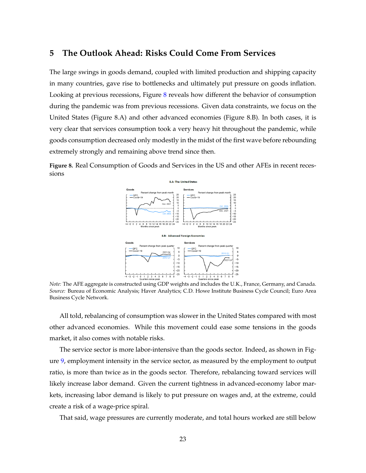## <span id="page-22-0"></span>**5 The Outlook Ahead: Risks Could Come From Services**

The large swings in goods demand, coupled with limited production and shipping capacity in many countries, gave rise to bottlenecks and ultimately put pressure on goods inflation. Looking at previous recessions, Figure [8](#page-22-1) reveals how different the behavior of consumption during the pandemic was from previous recessions. Given data constraints, we focus on the United States (Figure 8.A) and other advanced economies (Figure 8.B). In both cases, it is very clear that services consumption took a very heavy hit throughout the pandemic, while goods consumption decreased only modestly in the midst of the first wave before rebounding extremely strongly and remaining above trend since then.

<span id="page-22-1"></span>**Figure 8.** Real Consumption of Goods and Services in the US and other AFEs in recent recessions



*Note:* The AFE aggregate is constructed using GDP weights and includes the U.K., France, Germany, and Canada. *Source:* Bureau of Economic Analysis; Haver Analytics; C.D. Howe Institute Business Cycle Council; Euro Area Business Cycle Network.

All told, rebalancing of consumption was slower in the United States compared with most other advanced economies. While this movement could ease some tensions in the goods market, it also comes with notable risks.

The service sector is more labor-intensive than the goods sector. Indeed, as shown in Figure [9,](#page-23-1) employment intensity in the service sector, as measured by the employment to output ratio, is more than twice as in the goods sector. Therefore, rebalancing toward services will likely increase labor demand. Given the current tightness in advanced-economy labor markets, increasing labor demand is likely to put pressure on wages and, at the extreme, could create a risk of a wage-price spiral.

That said, wage pressures are currently moderate, and total hours worked are still below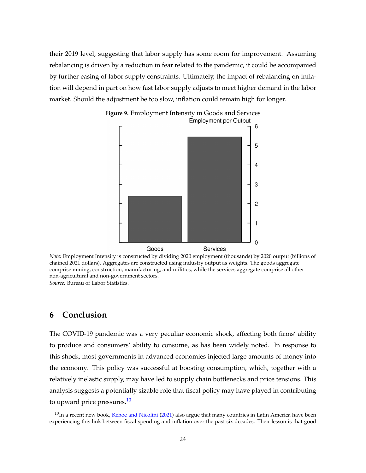<span id="page-23-1"></span>their 2019 level, suggesting that labor supply has some room for improvement. Assuming rebalancing is driven by a reduction in fear related to the pandemic, it could be accompanied by further easing of labor supply constraints. Ultimately, the impact of rebalancing on inflation will depend in part on how fast labor supply adjusts to meet higher demand in the labor market. Should the adjustment be too slow, inflation could remain high for longer.



Goods Services *Note:* Employment Intensity is constructed by dividing 2020 employment (thousands) by 2020 output (billions of

chained 2021 dollars). Aggregates are constructed using industry output as weights. The goods aggregate comprise mining, construction, manufacturing, and utilities, while the services aggregate comprise all other non-agricultural and non-government sectors.

*Source:* Bureau of Labor Statistics.

## <span id="page-23-0"></span>**6 Conclusion**

The COVID-19 pandemic was a very peculiar economic shock, affecting both firms' ability to produce and consumers' ability to consume, as has been widely noted. In response to this shock, most governments in advanced economies injected large amounts of money into the economy. This policy was successful at boosting consumption, which, together with a relatively inelastic supply, may have led to supply chain bottlenecks and price tensions. This analysis suggests a potentially sizable role that fiscal policy may have played in contributing to upward price pressures.<sup>[10](#page-23-2)</sup>

<span id="page-23-2"></span> $10$ In a recent new book, [Kehoe and Nicolini](#page-24-9) [\(2021\)](#page-24-9) also argue that many countries in Latin America have been experiencing this link between fiscal spending and inflation over the past six decades. Their lesson is that good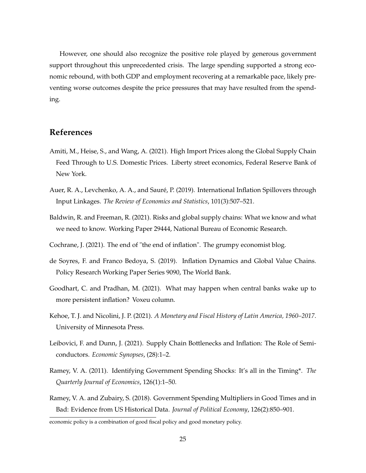However, one should also recognize the positive role played by generous government support throughout this unprecedented crisis. The large spending supported a strong economic rebound, with both GDP and employment recovering at a remarkable pace, likely preventing worse outcomes despite the price pressures that may have resulted from the spending.

## **References**

- <span id="page-24-5"></span>Amiti, M., Heise, S., and Wang, A. (2021). High Import Prices along the Global Supply Chain Feed Through to U.S. Domestic Prices. Liberty street economics, Federal Reserve Bank of New York.
- <span id="page-24-2"></span>Auer, R. A., Levchenko, A. A., and Sauré, P. (2019). International Inflation Spillovers through Input Linkages. *The Review of Economics and Statistics*, 101(3):507–521.
- <span id="page-24-4"></span>Baldwin, R. and Freeman, R. (2021). Risks and global supply chains: What we know and what we need to know. Working Paper 29444, National Bureau of Economic Research.
- <span id="page-24-1"></span>Cochrane, J. (2021). The end of "the end of inflation". The grumpy economist blog.
- <span id="page-24-3"></span>de Soyres, F. and Franco Bedoya, S. (2019). Inflation Dynamics and Global Value Chains. Policy Research Working Paper Series 9090, The World Bank.
- <span id="page-24-0"></span>Goodhart, C. and Pradhan, M. (2021). What may happen when central banks wake up to more persistent inflation? Voxeu column.
- <span id="page-24-9"></span>Kehoe, T. J. and Nicolini, J. P. (2021). *A Monetary and Fiscal History of Latin America, 1960–2017*. University of Minnesota Press.
- <span id="page-24-6"></span>Leibovici, F. and Dunn, J. (2021). Supply Chain Bottlenecks and Inflation: The Role of Semiconductors. *Economic Synopses*, (28):1–2.
- <span id="page-24-7"></span>Ramey, V. A. (2011). Identifying Government Spending Shocks: It's all in the Timing\*. *The Quarterly Journal of Economics*, 126(1):1–50.
- <span id="page-24-8"></span>Ramey, V. A. and Zubairy, S. (2018). Government Spending Multipliers in Good Times and in Bad: Evidence from US Historical Data. *Journal of Political Economy*, 126(2):850–901.

economic policy is a combination of good fiscal policy and good monetary policy.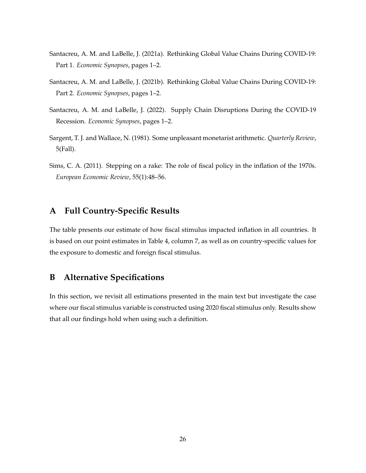- <span id="page-25-3"></span>Santacreu, A. M. and LaBelle, J. (2021a). Rethinking Global Value Chains During COVID-19: Part 1. *Economic Synopses*, pages 1–2.
- <span id="page-25-4"></span>Santacreu, A. M. and LaBelle, J. (2021b). Rethinking Global Value Chains During COVID-19: Part 2. *Economic Synopses*, pages 1–2.
- <span id="page-25-2"></span>Santacreu, A. M. and LaBelle, J. (2022). Supply Chain Disruptions During the COVID-19 Recession. *Economic Synopses*, pages 1–2.
- <span id="page-25-0"></span>Sargent, T. J. and Wallace, N. (1981). Some unpleasant monetarist arithmetic. *Quarterly Review*, 5(Fall).
- <span id="page-25-1"></span>Sims, C. A. (2011). Stepping on a rake: The role of fiscal policy in the inflation of the 1970s. *European Economic Review*, 55(1):48–56.

## **A Full Country-Specific Results**

The table presents our estimate of how fiscal stimulus impacted inflation in all countries. It is based on our point estimates in Table 4, column 7, as well as on country-specific values for the exposure to domestic and foreign fiscal stimulus.

## <span id="page-25-5"></span>**B Alternative Specifications**

In this section, we revisit all estimations presented in the main text but investigate the case where our fiscal stimulus variable is constructed using 2020 fiscal stimulus only. Results show that all our findings hold when using such a definition.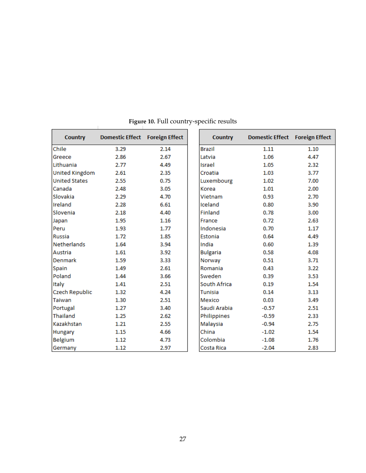| <b>Country</b>        | Domestic Effect Foreign Effect |      | <b>Country</b>  | Domestic Effect Foreign Effect |      |
|-----------------------|--------------------------------|------|-----------------|--------------------------------|------|
| Chile                 | 3.29                           | 2.14 | <b>Brazil</b>   | 1.11                           | 1.10 |
| Greece                | 2.86                           | 2.67 | Latvia          | 1.06                           | 4.47 |
| Lithuania             | 2.77                           | 4.49 | Israel          | 1.05                           | 2.32 |
| <b>United Kingdom</b> | 2.61                           | 2.35 | Croatia         | 1.03                           | 3.77 |
| <b>United States</b>  | 2.55                           | 0.75 | Luxembourg      | 1.02                           | 7.00 |
| Canada                | 2.48                           | 3.05 | Korea           | 1.01                           | 2.00 |
| Slovakia              | 2.29                           | 4.70 | Vietnam         | 0.93                           | 2.70 |
| Ireland               | 2.28                           | 6.61 | Iceland         | 0.80                           | 3.90 |
| Slovenia              | 2.18                           | 4.40 | Finland         | 0.78                           | 3.00 |
| Japan                 | 1.95                           | 1.16 | France          | 0.72                           | 2.63 |
| Peru                  | 1.93                           | 1.77 | Indonesia       | 0.70                           | 1.17 |
| <b>Russia</b>         | 1.72                           | 1.85 | Estonia         | 0.64                           | 4.49 |
| <b>Netherlands</b>    | 1.64                           | 3.94 | India           | 0.60                           | 1.39 |
| Austria               | 1.61                           | 3.92 | <b>Bulgaria</b> | 0.58                           | 4.08 |
| Denmark               | 1.59                           | 3.33 | Norway          | 0.51                           | 3.71 |
| Spain                 | 1.49                           | 2.61 | Romania         | 0.43                           | 3.22 |
| Poland                | 1.44                           | 3.66 | Sweden          | 0.39                           | 3.53 |
| Italy                 | 1.41                           | 2.51 | South Africa    | 0.19                           | 1.54 |
| Czech Republic        | 1.32                           | 4.24 | <b>Tunisia</b>  | 0.14                           | 3.13 |
| <b>Taiwan</b>         | 1.30                           | 2.51 | Mexico          | 0.03                           | 3.49 |
| Portugal              | 1.27                           | 3.40 | Saudi Arabia    | $-0.57$                        | 2.51 |
| Thailand              | 1.25                           | 2.62 | Philippines     | $-0.59$                        | 2.33 |
| Kazakhstan            | 1.21                           | 2.55 | Malaysia        | $-0.94$                        | 2.75 |
| Hungary               | 1.15                           | 4.66 | China           | $-1.02$                        | 1.54 |
| <b>Belgium</b>        | 1.12                           | 4.73 | Colombia        | $-1.08$                        | 1.76 |
| Germany               | 1.12                           | 2.97 | Costa Rica      | $-2.04$                        | 2.83 |

**Figure 10.** Full country-specific results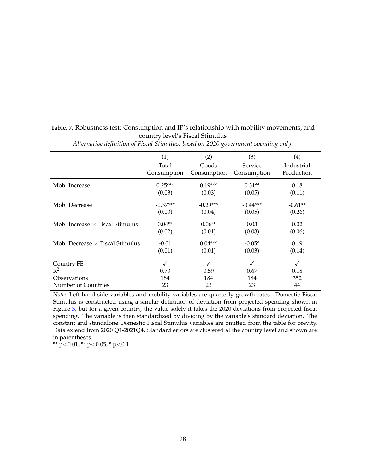### **Table. 7.** Robustness test: Consumption and IP's relationship with mobility movements, and country level's Fiscal Stimulus

|                                        | (1)         | (2)         | (3)         | (4)          |
|----------------------------------------|-------------|-------------|-------------|--------------|
|                                        | Total       | Goods       | Service     | Industrial   |
|                                        | Consumption | Consumption | Consumption | Production   |
| Mob. Increase                          | $0.25***$   | $0.19***$   | $0.31**$    | 0.18         |
|                                        | (0.03)      | (0.03)      | (0.05)      | (0.11)       |
| Mob. Decrease                          | $-0.37***$  | $-0.29***$  | $-0.44***$  | $-0.61**$    |
|                                        | (0.03)      | (0.04)      | (0.05)      | (0.26)       |
| Mob. Increase $\times$ Fiscal Stimulus | $0.04**$    | $0.06**$    | 0.03        | 0.02         |
|                                        | (0.02)      | (0.01)      | (0.03)      | (0.06)       |
| Mob. Decrease $\times$ Fiscal Stimulus | $-0.01$     | $0.04***$   | $-0.05*$    | 0.19         |
|                                        | (0.01)      | (0.01)      | (0.03)      | (0.14)       |
| Country FE                             | ✓           |             |             | $\checkmark$ |
| $R^2$                                  | 0.73        | 0.59        | 0.67        | 0.18         |
| Observations                           | 184         | 184         | 184         | 352          |
| Number of Countries                    | 23          | 23          | 23          | 44           |

*Alternative definition of Fiscal Stimulus: based on 2020 government spending only*.

*Note*: Left-hand-side variables and mobility variables are quarterly growth rates. Domestic Fiscal Stimulus is constructed using a similar definition of deviation from projected spending shown in Figure [3,](#page-6-0) but for a given country, the value solely it takes the 2020 deviations from projected fiscal spending. The variable is then standardized by dividing by the variable's standard deviation. The constant and standalone Domestic Fiscal Stimulus variables are omitted from the table for brevity. Data extend from 2020 Q1-2021Q4. Standard errors are clustered at the country level and shown are in parentheses.

\*\*  $p$ <0.01, \*\*  $p$ <0.05, \*  $p$ <0.1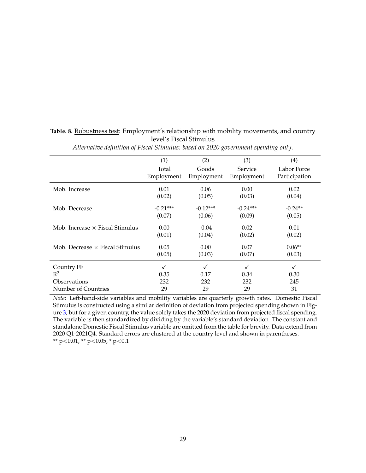| $\overline{J}$<br>┚                    |            | $\epsilon$ |            | $\lambda$<br>◡ |
|----------------------------------------|------------|------------|------------|----------------|
|                                        | (1)        | (2)        | (3)        | (4)            |
|                                        | Total      | Goods      | Service    | Labor Force    |
|                                        | Employment | Employment | Employment | Participation  |
| Mob. Increase                          | 0.01       | 0.06       | 0.00       | 0.02           |
|                                        | (0.02)     | (0.05)     | (0.03)     | (0.04)         |
| Mob. Decrease                          | $-0.21***$ | $-0.12***$ | $-0.24***$ | $-0.24**$      |
|                                        | (0.07)     | (0.06)     | (0.09)     | (0.05)         |
| Mob. Increase $\times$ Fiscal Stimulus | 0.00       | $-0.04$    | 0.02       | 0.01           |
|                                        | (0.01)     | (0.04)     | (0.02)     | (0.02)         |
| Mob. Decrease $\times$ Fiscal Stimulus | 0.05       | 0.00       | 0.07       | $0.06**$       |
|                                        | (0.05)     | (0.03)     | (0.07)     | (0.03)         |
| Country FE                             |            | ✓          |            |                |
| $R^2$                                  | 0.35       | 0.17       | 0.34       | 0.30           |
| Observations                           | 232        | 232        | 232        | 245            |
| Number of Countries                    | 29         | 29         | 29         | 31             |

**Table. 8.** Robustness test: Employment's relationship with mobility movements, and country level's Fiscal Stimulus

Number of Countries  $29$  29 29 29 31 *Note*: Left-hand-side variables and mobility variables are quarterly growth rates. Domestic Fiscal Stimulus is constructed using a similar definition of deviation from projected spending shown in Figure [3,](#page-6-0) but for a given country, the value solely takes the 2020 deviation from projected fiscal spending. The variable is then standardized by dividing by the variable's standard deviation. The constant and

*Alternative definition of Fiscal Stimulus: based on 2020 government spending only*.

standalone Domestic Fiscal Stimulus variable are omitted from the table for brevity. Data extend from 2020 Q1-2021Q4. Standard errors are clustered at the country level and shown in parentheses. \*\* p<0.01, \*\* p<0.05, \* p<0.1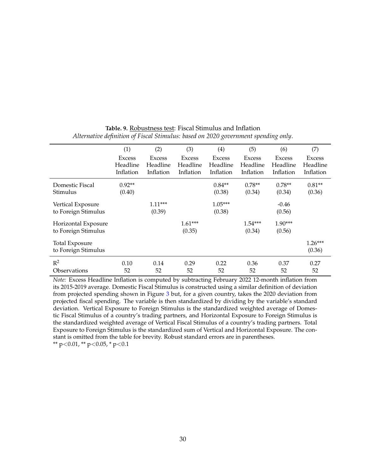|                       | (1)           | (2)       | (3)           | $\left(4\right)$ | (5)           | (6)           | (7)       |
|-----------------------|---------------|-----------|---------------|------------------|---------------|---------------|-----------|
|                       | <b>Excess</b> | Excess    | <b>Excess</b> | <b>Excess</b>    | <b>Excess</b> | <b>Excess</b> | Excess    |
|                       | Headline      | Headline  | Headline      | Headline         | Headline      | Headline      | Headline  |
|                       | Inflation     | Inflation | Inflation     | Inflation        | Inflation     | Inflation     | Inflation |
| Domestic Fiscal       | $0.92**$      |           |               | $0.84**$         | $0.78**$      | $0.78**$      | $0.81**$  |
| Stimulus              | (0.40)        |           |               | (0.38)           | (0.34)        | (0.34)        | (0.36)    |
| Vertical Exposure     |               | $1.11***$ |               | $1.05***$        |               | $-0.46$       |           |
| to Foreign Stimulus   |               | (0.39)    |               | (0.38)           |               | (0.56)        |           |
| Horizontal Exposure   |               |           | $1.61***$     |                  | $1.54***$     | $1.90***$     |           |
| to Foreign Stimulus   |               |           | (0.35)        |                  | (0.34)        | (0.56)        |           |
| <b>Total Exposure</b> |               |           |               |                  |               |               | $1.26***$ |
| to Foreign Stimulus   |               |           |               |                  |               |               | (0.36)    |
| $R^2$                 | 0.10          | 0.14      | 0.29          | 0.22             | 0.36          | 0.37          | 0.27      |
| Observations          | 52            | 52        | 52            | 52               | 52            | 52            | 52        |

**Table. 9.** Robustness test: Fiscal Stimulus and Inflation *Alternative definition of Fiscal Stimulus: based on 2020 government spending only*.

*Note:* Excess Headline Inflation is computed by subtracting February 2022 12-month inflation from its 2015-2019 average. Domestic Fiscal Stimulus is constructed using a similar definition of deviation from projected spending shown in Figure [3](#page-6-0) but, for a given country, takes the 2020 deviation from projected fiscal spending. The variable is then standardized by dividing by the variable's standard deviation. Vertical Exposure to Foreign Stimulus is the standardized weighted average of Domestic Fiscal Stimulus of a country's trading partners, and Horizontal Exposure to Foreign Stimulus is the standardized weighted average of Vertical Fiscal Stimulus of a country's trading partners. Total Exposure to Foreign Stimulus is the standardized sum of Vertical and Horizontal Exposure. The constant is omitted from the table for brevity. Robust standard errors are in parentheses.

\*\* p<0.01, \*\* p<0.05, \* p<0.1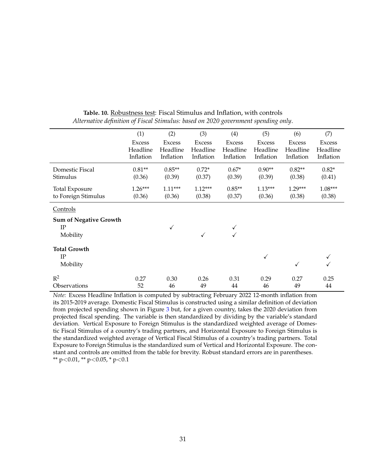|                               | (1)                       | (2)                       | (3)                       | (4)                       | (5)                       | (6)                       | (7)                       |
|-------------------------------|---------------------------|---------------------------|---------------------------|---------------------------|---------------------------|---------------------------|---------------------------|
|                               | <b>Excess</b><br>Headline | <b>Excess</b><br>Headline | <b>Excess</b><br>Headline | <b>Excess</b><br>Headline | <b>Excess</b><br>Headline | <b>Excess</b><br>Headline | <b>Excess</b><br>Headline |
|                               | Inflation                 | Inflation                 | Inflation                 | Inflation                 | Inflation                 | Inflation                 | Inflation                 |
| Domestic Fiscal               | $0.81**$                  | $0.85**$                  | $0.72*$                   | $0.67*$                   | $0.90**$                  | $0.82**$                  | $0.82*$                   |
| Stimulus                      | (0.36)                    | (0.39)                    | (0.37)                    | (0.39)                    | (0.39)                    | (0.38)                    | (0.41)                    |
| <b>Total Exposure</b>         | $1.26***$                 | $1.11***$                 | $1.12***$                 | $0.85**$                  | $1.13***$                 | $1.29***$                 | $1.08***$                 |
| to Foreign Stimulus           | (0.36)                    | (0.36)                    | (0.38)                    | (0.37)                    | (0.36)                    | (0.38)                    | (0.38)                    |
| Controls                      |                           |                           |                           |                           |                           |                           |                           |
| <b>Sum of Negative Growth</b> |                           |                           |                           |                           |                           |                           |                           |
| IP                            |                           |                           |                           |                           |                           |                           |                           |
| Mobility                      |                           |                           | $\checkmark$              |                           |                           |                           |                           |
| <b>Total Growth</b>           |                           |                           |                           |                           |                           |                           |                           |
| $_{\rm IP}$                   |                           |                           |                           |                           | ✓                         |                           | ✓                         |
| Mobility                      |                           |                           |                           |                           |                           | $\checkmark$              | √                         |
| $R^2$                         | 0.27                      | 0.30                      | 0.26                      | 0.31                      | 0.29                      | 0.27                      | 0.25                      |
| Observations                  | 52                        | 46                        | 49                        | 44                        | 46                        | 49                        | 44                        |

**Table. 10.** Robustness test: Fiscal Stimulus and Inflation, with controls *Alternative definition of Fiscal Stimulus: based on 2020 government spending only*.

*Note:* Excess Headline Inflation is computed by subtracting February 2022 12-month inflation from its 2015-2019 average. Domestic Fiscal Stimulus is constructed using a similar definition of deviation from projected spending shown in Figure [3](#page-6-0) but, for a given country, takes the 2020 deviation from projected fiscal spending. The variable is then standardized by dividing by the variable's standard deviation. Vertical Exposure to Foreign Stimulus is the standardized weighted average of Domestic Fiscal Stimulus of a country's trading partners, and Horizontal Exposure to Foreign Stimulus is the standardized weighted average of Vertical Fiscal Stimulus of a country's trading partners. Total Exposure to Foreign Stimulus is the standardized sum of Vertical and Horizontal Exposure. The constant and controls are omitted from the table for brevity. Robust standard errors are in parentheses. \*\*  $p<0.01$ , \*\*  $p<0.05$ , \*  $p<0.1$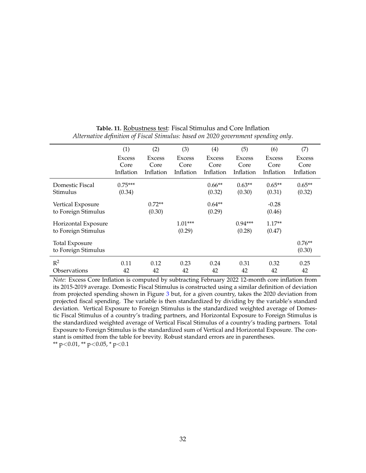|                       | (1)       | (2)           | (3)       | (4)           | (5)           | (6)           | (7)           |
|-----------------------|-----------|---------------|-----------|---------------|---------------|---------------|---------------|
|                       | Excess    | <b>Excess</b> | Excess    | <b>Excess</b> | <b>Excess</b> | <b>Excess</b> | <b>Excess</b> |
|                       | Core      | Core          | Core      | Core          | Core          | Core          | Core          |
|                       | Inflation | Inflation     | Inflation | Inflation     | Inflation     | Inflation     | Inflation     |
| Domestic Fiscal       | $0.75***$ |               |           | $0.66**$      | $0.63**$      | $0.65**$      | $0.65**$      |
| Stimulus              | (0.34)    |               |           | (0.32)        | (0.30)        | (0.31)        | (0.32)        |
| Vertical Exposure     |           | $0.72**$      |           | $0.64**$      |               | $-0.28$       |               |
| to Foreign Stimulus   |           | (0.30)        |           | (0.29)        |               | (0.46)        |               |
| Horizontal Exposure   |           |               | $1.01***$ |               | $0.94***$     | $1.17**$      |               |
| to Foreign Stimulus   |           |               | (0.29)    |               | (0.28)        | (0.47)        |               |
| <b>Total Exposure</b> |           |               |           |               |               |               | $0.76**$      |
| to Foreign Stimulus   |           |               |           |               |               |               | (0.30)        |
| $R^2$                 | 0.11      | 0.12          | 0.23      | 0.24          | 0.31          | 0.32          | 0.25          |
| Observations          | 42        | 42            | 42        | 42            | 42            | 42            | 42            |

**Table. 11.** Robustness test: Fiscal Stimulus and Core Inflation *Alternative definition of Fiscal Stimulus: based on 2020 government spending only*.

*Note:* Excess Core Inflation is computed by subtracting February 2022 12-month core inflation from its 2015-2019 average. Domestic Fiscal Stimulus is constructed using a similar definition of deviation from projected spending shown in Figure [3](#page-6-0) but, for a given country, takes the 2020 deviation from projected fiscal spending. The variable is then standardized by dividing by the variable's standard deviation. Vertical Exposure to Foreign Stimulus is the standardized weighted average of Domestic Fiscal Stimulus of a country's trading partners, and Horizontal Exposure to Foreign Stimulus is the standardized weighted average of Vertical Fiscal Stimulus of a country's trading partners. Total Exposure to Foreign Stimulus is the standardized sum of Vertical and Horizontal Exposure. The constant is omitted from the table for brevity. Robust standard errors are in parentheses.

\*\* p<0.01, \*\* p<0.05, \* p<0.1